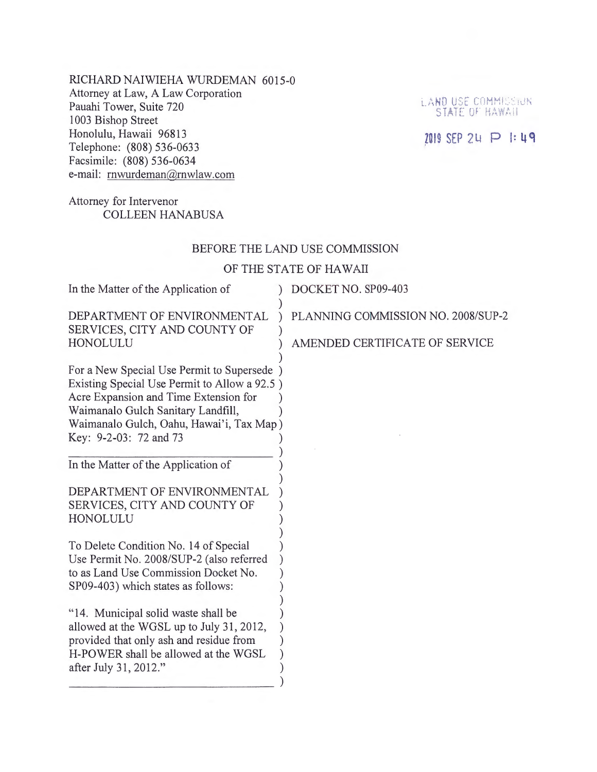RICHARD NAIWIEHA WURDEMAN 6015-0 Attorney at Law, A Law Corporation Pauahi Tower, Suite 720 1003 Bishop Street Honolulu, Hawaii 96813 Telephone: (808) 536-0633 Facsimile: (808) 536-0634 e-mail: rnwurdeman@rnwlaw.com

# Attorney for Intervenor COLLEEN HANABUSA

### BEFORE THE LAND USE COMMISSION

### OF THE STATE OF HAWAII

| In the Matter of the Application of                                                                                                                                                                                                              | DOCKET NO. SP09-403                                                  |
|--------------------------------------------------------------------------------------------------------------------------------------------------------------------------------------------------------------------------------------------------|----------------------------------------------------------------------|
| DEPARTMENT OF ENVIRONMENTAL<br>SERVICES, CITY AND COUNTY OF<br>HONOLULU                                                                                                                                                                          | PLANNING COMMISSION NO. 2008/SUP-2<br>AMENDED CERTIFICATE OF SERVICE |
| For a New Special Use Permit to Supersede )<br>Existing Special Use Permit to Allow a 92.5)<br>Acre Expansion and Time Extension for<br>Waimanalo Gulch Sanitary Landfill,<br>Waimanalo Gulch, Oahu, Hawai'i, Tax Map)<br>Key: 9-2-03: 72 and 73 |                                                                      |
| In the Matter of the Application of                                                                                                                                                                                                              |                                                                      |
| DEPARTMENT OF ENVIRONMENTAL<br>SERVICES, CITY AND COUNTY OF<br>HONOLULU                                                                                                                                                                          |                                                                      |
| To Delete Condition No. 14 of Special<br>Use Permit No. 2008/SUP-2 (also referred<br>to as Land Use Commission Docket No.<br>SP09-403) which states as follows:                                                                                  |                                                                      |
| "14. Municipal solid waste shall be<br>allowed at the WGSL up to July 31, 2012,<br>provided that only ash and residue from<br>H-POWER shall be allowed at the WGSL<br>after July 31, 2012."                                                      |                                                                      |
|                                                                                                                                                                                                                                                  |                                                                      |

LAND USE COMMISSION

## 2019 SEP 24 P 1:49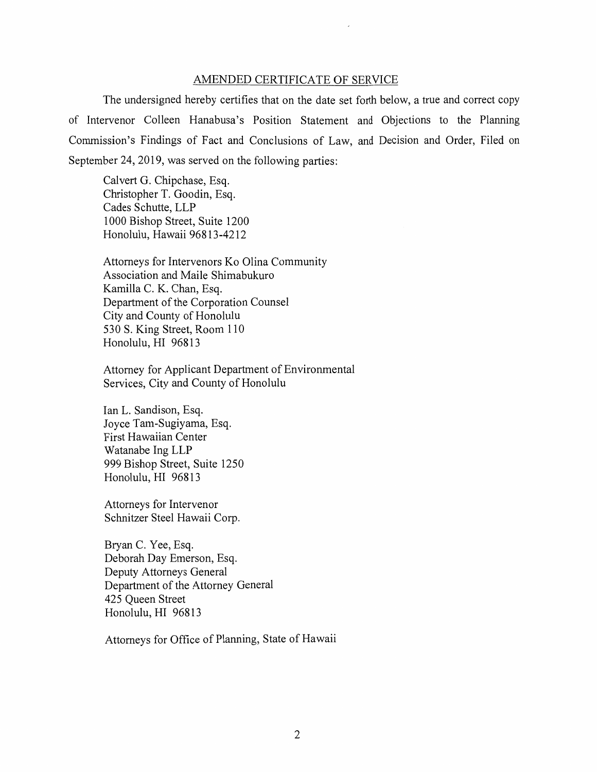#### AMENDED CERTIFICATE OF SERVICE

The undersigned hereby certifies that on the date set forth below, a true and correct copy of Intervenor Colleen Hanabusa's Position Statement and Objections to the Planning Commission's Findings of Fact and Conclusions of Law, and Decision and Order, Filed on September 24, 2019, was served on the following parties:

Calvert G. Chipchase, Esq. Christopher T. Goodin, Esq. Cades Schutte, LLP 1000 Bishop Street, Suite 1200 Honolulu, Hawaii 96813-4212

Attorneys for Intervenors Ko Olina Community Association and Maile Shimabukuro Kamilla C. K. Chan, Esq. Department of the Corporation Counsel City and County of Honolulu 530 S. King Street, Room 110 Honolulu, HI 96813

Attorney for Applicant Department of Environmental Services, City and County of Honolulu

Ian L. Sandison, Esq. Joyce Tam-Sugiyama, Esq. First Hawaiian Center Watanabe Ing LLP 999 Bishop Street, Suite 1250 Honolulu, HI 96813

Attorneys for Intervenor Schnitzer Steel Hawaii Corp.

Bryan C. Yee, Esq. Deborah Day Emerson, Esq. Deputy Attorneys General Department of the Attorney General 425 Queen Street Honolulu, HI 96813

Attorneys for Office of Planning, State of Hawaii